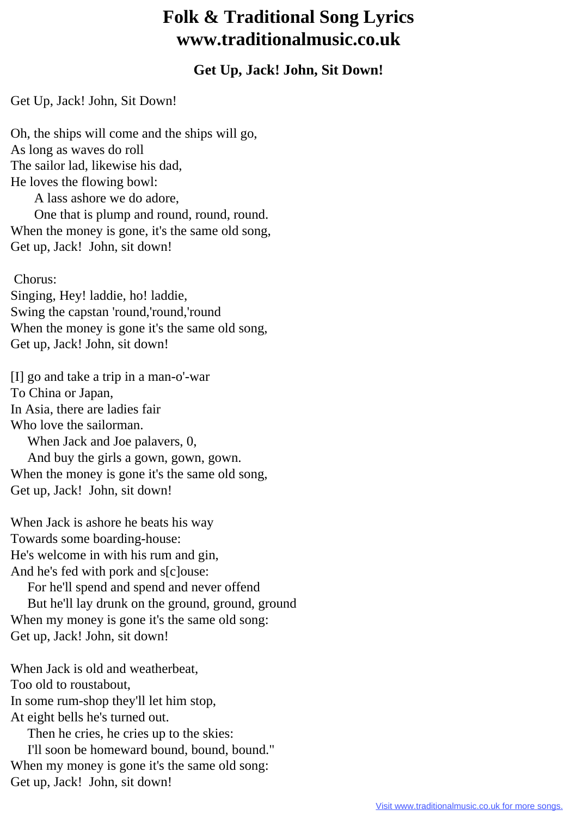## **Folk & Traditional Song Lyrics www.traditionalmusic.co.uk**

## **Get Up, Jack! John, Sit Down!**

Get Up, Jack! John, Sit Down!

Oh, the ships will come and the ships will go, As long as waves do roll The sailor lad, likewise his dad, He loves the flowing bowl: A lass ashore we do adore, One that is plump and round, round, round. When the money is gone, it's the same old song, Get up, Jack! John, sit down!

 Chorus: Singing, Hey! laddie, ho! laddie, Swing the capstan 'round,'round,'round When the money is gone it's the same old song, Get up, Jack! John, sit down!

[I] go and take a trip in a man-o'-war To China or Japan, In Asia, there are ladies fair Who love the sailorman. When Jack and Joe palavers, 0, And buy the girls a gown, gown, gown. When the money is gone it's the same old song, Get up, Jack! John, sit down!

When Jack is ashore he beats his way Towards some boarding-house: He's welcome in with his rum and gin, And he's fed with pork and s[c]ouse:

 For he'll spend and spend and never offend But he'll lay drunk on the ground, ground, ground When my money is gone it's the same old song: Get up, Jack! John, sit down!

When Jack is old and weatherbeat, Too old to roustabout, In some rum-shop they'll let him stop, At eight bells he's turned out. Then he cries, he cries up to the skies: I'll soon be homeward bound, bound, bound." When my money is gone it's the same old song:

Get up, Jack! John, sit down!